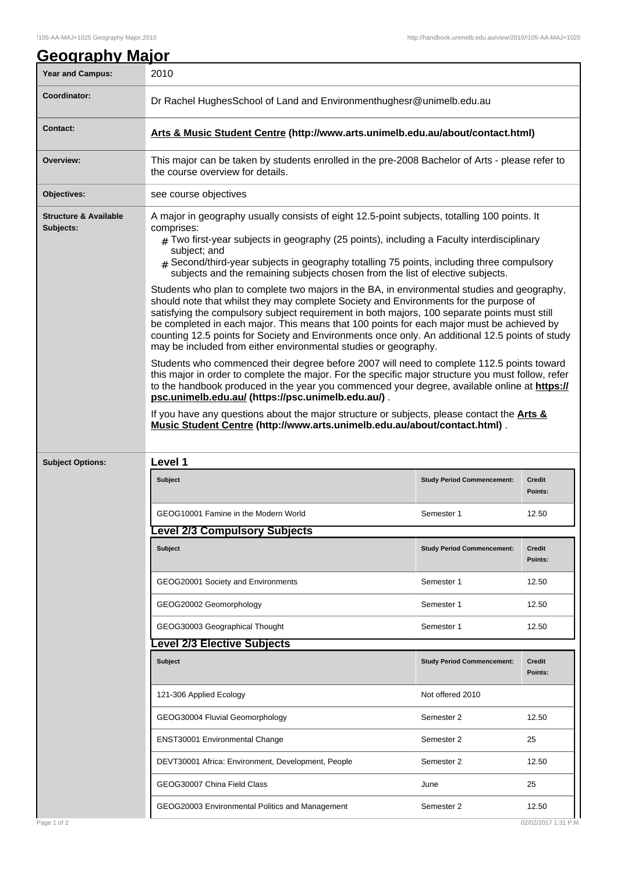| <b>Year and Campus:</b>                       | 2010                                                                                                                                                                                                                                                                                                                                                                                                                                                                                                                                                    |                          |  |  |
|-----------------------------------------------|---------------------------------------------------------------------------------------------------------------------------------------------------------------------------------------------------------------------------------------------------------------------------------------------------------------------------------------------------------------------------------------------------------------------------------------------------------------------------------------------------------------------------------------------------------|--------------------------|--|--|
| Coordinator:                                  | Dr Rachel HughesSchool of Land and Environmenthughesr@unimelb.edu.au                                                                                                                                                                                                                                                                                                                                                                                                                                                                                    |                          |  |  |
| <b>Contact:</b>                               | Arts & Music Student Centre (http://www.arts.unimelb.edu.au/about/contact.html)                                                                                                                                                                                                                                                                                                                                                                                                                                                                         |                          |  |  |
| Overview:                                     | This major can be taken by students enrolled in the pre-2008 Bachelor of Arts - please refer to<br>the course overview for details.                                                                                                                                                                                                                                                                                                                                                                                                                     |                          |  |  |
| Objectives:                                   | see course objectives                                                                                                                                                                                                                                                                                                                                                                                                                                                                                                                                   |                          |  |  |
| <b>Structure &amp; Available</b><br>Subjects: | A major in geography usually consists of eight 12.5-point subjects, totalling 100 points. It<br>comprises:<br>$_{\#}$ Two first-year subjects in geography (25 points), including a Faculty interdisciplinary<br>subject; and                                                                                                                                                                                                                                                                                                                           |                          |  |  |
|                                               | $_{\rm \#}$ Second/third-year subjects in geography totalling 75 points, including three compulsory<br>subjects and the remaining subjects chosen from the list of elective subjects.                                                                                                                                                                                                                                                                                                                                                                   |                          |  |  |
|                                               | Students who plan to complete two majors in the BA, in environmental studies and geography,<br>should note that whilst they may complete Society and Environments for the purpose of<br>satisfying the compulsory subject requirement in both majors, 100 separate points must still<br>be completed in each major. This means that 100 points for each major must be achieved by<br>counting 12.5 points for Society and Environments once only. An additional 12.5 points of study<br>may be included from either environmental studies or geography. |                          |  |  |
|                                               | Students who commenced their degree before 2007 will need to complete 112.5 points toward<br>this major in order to complete the major. For the specific major structure you must follow, refer<br>to the handbook produced in the year you commenced your degree, available online at https://<br>psc.unimelb.edu.au/ (https://psc.unimelb.edu.au/).                                                                                                                                                                                                   |                          |  |  |
|                                               |                                                                                                                                                                                                                                                                                                                                                                                                                                                                                                                                                         |                          |  |  |
|                                               | If you have any questions about the major structure or subjects, please contact the <b>Arts &amp;</b><br>Music Student Centre (http://www.arts.unimelb.edu.au/about/contact.html).                                                                                                                                                                                                                                                                                                                                                                      |                          |  |  |
| <b>Subject Options:</b>                       | Level 1                                                                                                                                                                                                                                                                                                                                                                                                                                                                                                                                                 |                          |  |  |
|                                               | Subject<br><b>Study Period Commencement:</b>                                                                                                                                                                                                                                                                                                                                                                                                                                                                                                            | <b>Credit</b><br>Points: |  |  |
|                                               | GEOG10001 Famine in the Modern World<br>Semester 1                                                                                                                                                                                                                                                                                                                                                                                                                                                                                                      | 12.50                    |  |  |
|                                               | evel 2/3 Compulsory Subjects.                                                                                                                                                                                                                                                                                                                                                                                                                                                                                                                           |                          |  |  |
|                                               | <b>Subject</b><br><b>Study Period Commencement:</b>                                                                                                                                                                                                                                                                                                                                                                                                                                                                                                     | <b>Credit</b><br>Points: |  |  |
|                                               | GEOG20001 Society and Environments<br>Semester 1                                                                                                                                                                                                                                                                                                                                                                                                                                                                                                        | 12.50                    |  |  |
|                                               | GEOG20002 Geomorphology<br>Semester 1                                                                                                                                                                                                                                                                                                                                                                                                                                                                                                                   | 12.50                    |  |  |
|                                               | GEOG30003 Geographical Thought<br>Semester 1                                                                                                                                                                                                                                                                                                                                                                                                                                                                                                            | 12.50                    |  |  |
|                                               | evel 2/3 Elective Subjects.                                                                                                                                                                                                                                                                                                                                                                                                                                                                                                                             |                          |  |  |
|                                               | <b>Subject</b><br><b>Study Period Commencement:</b>                                                                                                                                                                                                                                                                                                                                                                                                                                                                                                     | <b>Credit</b><br>Points: |  |  |
|                                               | Not offered 2010<br>121-306 Applied Ecology                                                                                                                                                                                                                                                                                                                                                                                                                                                                                                             |                          |  |  |
|                                               | GEOG30004 Fluvial Geomorphology<br>Semester 2                                                                                                                                                                                                                                                                                                                                                                                                                                                                                                           | 12.50                    |  |  |
|                                               | ENST30001 Environmental Change<br>Semester 2                                                                                                                                                                                                                                                                                                                                                                                                                                                                                                            | 25                       |  |  |
|                                               | DEVT30001 Africa: Environment, Development, People<br>Semester 2                                                                                                                                                                                                                                                                                                                                                                                                                                                                                        | 12.50                    |  |  |
|                                               | GEOG30007 China Field Class<br>June                                                                                                                                                                                                                                                                                                                                                                                                                                                                                                                     | 25                       |  |  |